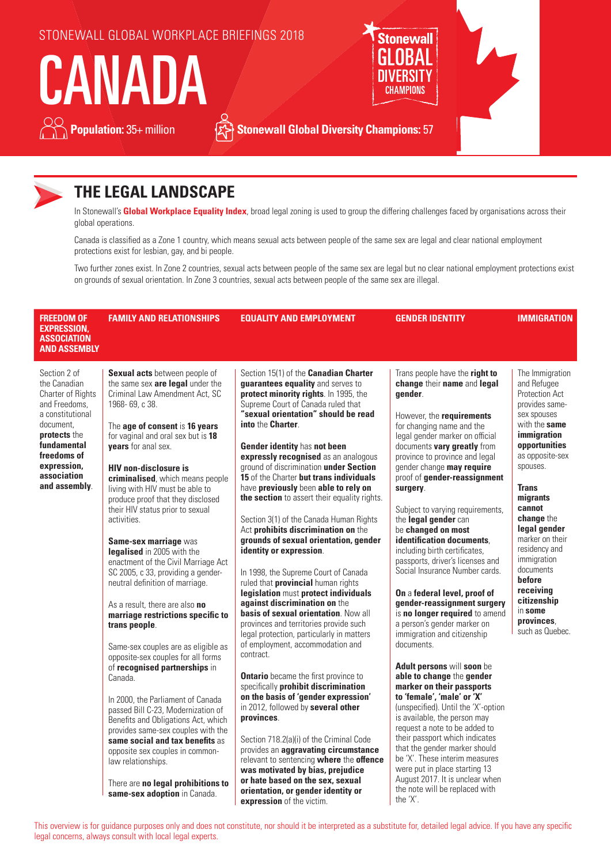

## **THE LEGAL LANDSCAPE**

In Stonewall's **Global Workplace Equality Index**, broad legal zoning is used to group the differing challenges faced by organisations across their global operations.

Canada is classified as a Zone 1 country, which means sexual acts between people of the same sex are legal and clear national employment protections exist for lesbian, gay, and bi people.

Two further zones exist. In Zone 2 countries, sexual acts between people of the same sex are legal but no clear national employment protections exist on grounds of sexual orientation. In Zone 3 countries, sexual acts between people of the same sex are illegal.

| <b>FREEDOM OF</b><br><b>EXPRESSION.</b><br><b>ASSOCIATION</b><br><b>AND ASSEMBLY</b>                                                                                                             | <b>FAMILY AND RELATIONSHIPS</b>                                                                                                                                                                                                                                                                                                                                                                                                                                                                                                                                                                                                                                                                                                                                                                                                                                                                                                                                                                                                                                                                                                              | <b>EQUALITY AND EMPLOYMENT</b>                                                                                                                                                                                                                                                                                                                                                                                                                                                                                                                                                                                                                                                                                                                                                                                                                                                                                                                                                                                                                                                                                                                                                                                                                                                                                                                                                                                                              | <b>GENDER IDENTITY</b>                                                                                                                                                                                                                                                                                                                                                                                                                                                                                                                                                                                                                                                                                                                                                                                                                                                                                                                                                                                                                                                                                                                                                  | <b>IMMIGRATION</b>                                                                                                                                                                                                                                                                                                                                                                      |
|--------------------------------------------------------------------------------------------------------------------------------------------------------------------------------------------------|----------------------------------------------------------------------------------------------------------------------------------------------------------------------------------------------------------------------------------------------------------------------------------------------------------------------------------------------------------------------------------------------------------------------------------------------------------------------------------------------------------------------------------------------------------------------------------------------------------------------------------------------------------------------------------------------------------------------------------------------------------------------------------------------------------------------------------------------------------------------------------------------------------------------------------------------------------------------------------------------------------------------------------------------------------------------------------------------------------------------------------------------|---------------------------------------------------------------------------------------------------------------------------------------------------------------------------------------------------------------------------------------------------------------------------------------------------------------------------------------------------------------------------------------------------------------------------------------------------------------------------------------------------------------------------------------------------------------------------------------------------------------------------------------------------------------------------------------------------------------------------------------------------------------------------------------------------------------------------------------------------------------------------------------------------------------------------------------------------------------------------------------------------------------------------------------------------------------------------------------------------------------------------------------------------------------------------------------------------------------------------------------------------------------------------------------------------------------------------------------------------------------------------------------------------------------------------------------------|-------------------------------------------------------------------------------------------------------------------------------------------------------------------------------------------------------------------------------------------------------------------------------------------------------------------------------------------------------------------------------------------------------------------------------------------------------------------------------------------------------------------------------------------------------------------------------------------------------------------------------------------------------------------------------------------------------------------------------------------------------------------------------------------------------------------------------------------------------------------------------------------------------------------------------------------------------------------------------------------------------------------------------------------------------------------------------------------------------------------------------------------------------------------------|-----------------------------------------------------------------------------------------------------------------------------------------------------------------------------------------------------------------------------------------------------------------------------------------------------------------------------------------------------------------------------------------|
| Section 2 of<br>the Canadian<br>Charter of Rights<br>and Freedoms.<br>a constitutional<br>document.<br>protects the<br>fundamental<br>freedoms of<br>expression,<br>association<br>and assembly. | <b>Sexual acts</b> between people of<br>the same sex are legal under the<br>Criminal Law Amendment Act, SC<br>1968-69, c 38.<br>The age of consent is 16 years<br>for vaginal and oral sex but is 18<br>years for anal sex.<br><b>HIV</b> non-disclosure is<br>criminalised, which means people<br>living with HIV must be able to<br>produce proof that they disclosed<br>their HIV status prior to sexual<br>activities.<br>Same-sex marriage was<br>legalised in 2005 with the<br>enactment of the Civil Marriage Act<br>SC 2005, c 33, providing a gender-<br>neutral definition of marriage.<br>As a result, there are also no<br>marriage restrictions specific to<br>trans people.<br>Same-sex couples are as eligible as<br>opposite-sex couples for all forms<br>of recognised partnerships in<br>Canada.<br>In 2000, the Parliament of Canada<br>passed Bill C-23, Modernization of<br>Benefits and Obligations Act, which<br>provides same-sex couples with the<br>same social and tax benefits as<br>opposite sex couples in common-<br>law relationships.<br>There are no legal prohibitions to<br>same-sex adoption in Canada. | Section 15(1) of the <b>Canadian Charter</b><br>guarantees equality and serves to<br>protect minority rights. In 1995, the<br>Supreme Court of Canada ruled that<br>"sexual orientation" should be read<br>into the Charter.<br>Gender identity has not been<br>expressly recognised as an analogous<br>ground of discrimination under Section<br>15 of the Charter but trans individuals<br>have previously been able to rely on<br>the section to assert their equality rights.<br>Section 3(1) of the Canada Human Rights<br>Act prohibits discrimination on the<br>grounds of sexual orientation, gender<br>identity or expression.<br>In 1998, the Supreme Court of Canada<br>ruled that provincial human rights<br>legislation must protect individuals<br>against discrimination on the<br>basis of sexual orientation. Now all<br>provinces and territories provide such<br>legal protection, particularly in matters<br>of employment, accommodation and<br>contract.<br><b>Ontario</b> became the first province to<br>specifically prohibit discrimination<br>on the basis of 'gender expression'<br>in 2012, followed by several other<br>provinces.<br>Section 718.2(a)(i) of the Criminal Code<br>provides an aggravating circumstance<br>relevant to sentencing where the offence<br>was motivated by bias, prejudice<br>or hate based on the sex, sexual<br>orientation, or gender identity or<br>expression of the victim. | Trans people have the right to<br>change their name and legal<br>aender.<br>However, the requirements<br>for changing name and the<br>legal gender marker on official<br>documents vary greatly from<br>province to province and legal<br>gender change may require<br>proof of gender-reassignment<br>surgery.<br>Subject to varying requirements,<br>the legal gender can<br>be changed on most<br>identification documents,<br>including birth certificates,<br>passports, driver's licenses and<br>Social Insurance Number cards.<br>On a federal level, proof of<br>gender-reassignment surgery<br>is no longer required to amend<br>a person's gender marker on<br>immigration and citizenship<br>documents.<br>Adult persons will soon be<br>able to change the gender<br>marker on their passports<br>to 'female', 'male' or 'X'<br>(unspecified). Until the 'X'-option<br>is available, the person may<br>request a note to be added to<br>their passport which indicates<br>that the gender marker should<br>be 'X'. These interim measures<br>were put in place starting 13<br>August 2017. It is unclear when<br>the note will be replaced with<br>the 'X'. | The Immigration<br>and Refugee<br>Protection Act<br>provides same-<br>sex spouses<br>with the same<br>immigration<br>opportunities<br>as opposite-sex<br>spouses.<br><b>Trans</b><br>migrants<br>cannot<br>change the<br>legal gender<br>marker on their<br>residency and<br>immigration<br>documents<br>before<br>receiving<br>citizenship<br>in some<br>provinces.<br>such as Quebec. |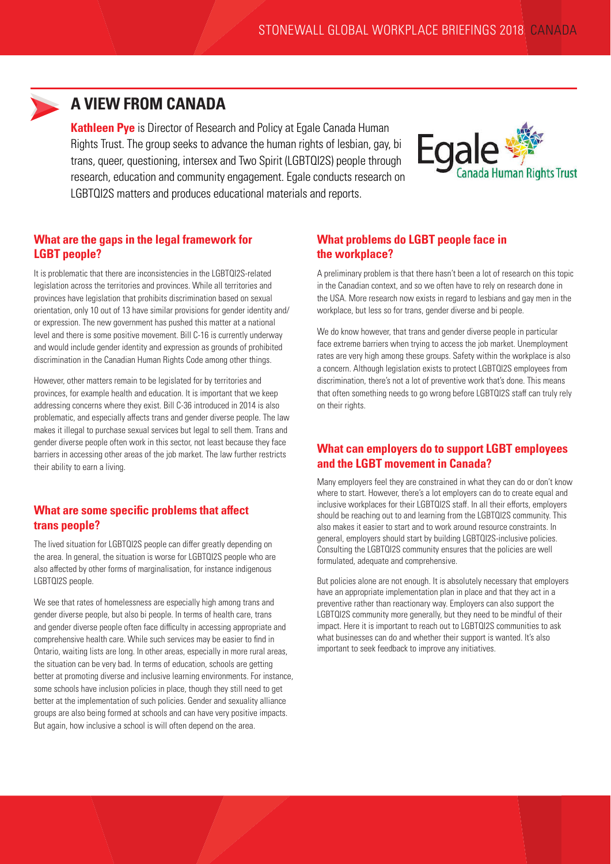

### **A VIEW FROM CANADA**

**Kathleen Pye** is Director of Research and Policy at Egale Canada Human Rights Trust. The group seeks to advance the human rights of lesbian, gay, bi trans, queer, questioning, intersex and Two Spirit (LGBTQI2S) people through research, education and community engagement. Egale conducts research on LGBTQI2S matters and produces educational materials and reports.



### **What are the gaps in the legal framework for LGBT people?**

It is problematic that there are inconsistencies in the LGBTQI2S-related legislation across the territories and provinces. While all territories and provinces have legislation that prohibits discrimination based on sexual orientation, only 10 out of 13 have similar provisions for gender identity and/ or expression. The new government has pushed this matter at a national level and there is some positive movement. Bill C-16 is currently underway and would include gender identity and expression as grounds of prohibited discrimination in the Canadian Human Rights Code among other things.

However, other matters remain to be legislated for by territories and provinces, for example health and education. It is important that we keep addressing concerns where they exist. Bill C-36 introduced in 2014 is also problematic, and especially affects trans and gender diverse people. The law makes it illegal to purchase sexual services but legal to sell them. Trans and gender diverse people often work in this sector, not least because they face barriers in accessing other areas of the job market. The law further restricts their ability to earn a living.

### **What are some specific problems that affect trans people?**

The lived situation for LGBTQI2S people can differ greatly depending on the area. In general, the situation is worse for LGBTQI2S people who are also affected by other forms of marginalisation, for instance indigenous LGBTQI2S people.

We see that rates of homelessness are especially high among trans and gender diverse people, but also bi people. In terms of health care, trans and gender diverse people often face difficulty in accessing appropriate and comprehensive health care. While such services may be easier to find in Ontario, waiting lists are long. In other areas, especially in more rural areas, the situation can be very bad. In terms of education, schools are getting better at promoting diverse and inclusive learning environments. For instance, some schools have inclusion policies in place, though they still need to get better at the implementation of such policies. Gender and sexuality alliance groups are also being formed at schools and can have very positive impacts. But again, how inclusive a school is will often depend on the area.

#### **What problems do LGBT people face in the workplace?**

A preliminary problem is that there hasn't been a lot of research on this topic in the Canadian context, and so we often have to rely on research done in the USA. More research now exists in regard to lesbians and gay men in the workplace, but less so for trans, gender diverse and bi people.

We do know however, that trans and gender diverse people in particular face extreme barriers when trying to access the job market. Unemployment rates are very high among these groups. Safety within the workplace is also a concern. Although legislation exists to protect LGBTQI2S employees from discrimination, there's not a lot of preventive work that's done. This means that often something needs to go wrong before LGBTQI2S staff can truly rely on their rights.

### **What can employers do to support LGBT employees and the LGBT movement in Canada?**

Many employers feel they are constrained in what they can do or don't know where to start. However, there's a lot employers can do to create equal and inclusive workplaces for their LGBTQI2S staff. In all their efforts, employers should be reaching out to and learning from the LGBTQI2S community. This also makes it easier to start and to work around resource constraints. In general, employers should start by building LGBTQI2S-inclusive policies. Consulting the LGBTQI2S community ensures that the policies are well formulated, adequate and comprehensive.

But policies alone are not enough. It is absolutely necessary that employers have an appropriate implementation plan in place and that they act in a preventive rather than reactionary way. Employers can also support the LGBTQI2S community more generally, but they need to be mindful of their impact. Here it is important to reach out to LGBTQI2S communities to ask what businesses can do and whether their support is wanted. It's also important to seek feedback to improve any initiatives.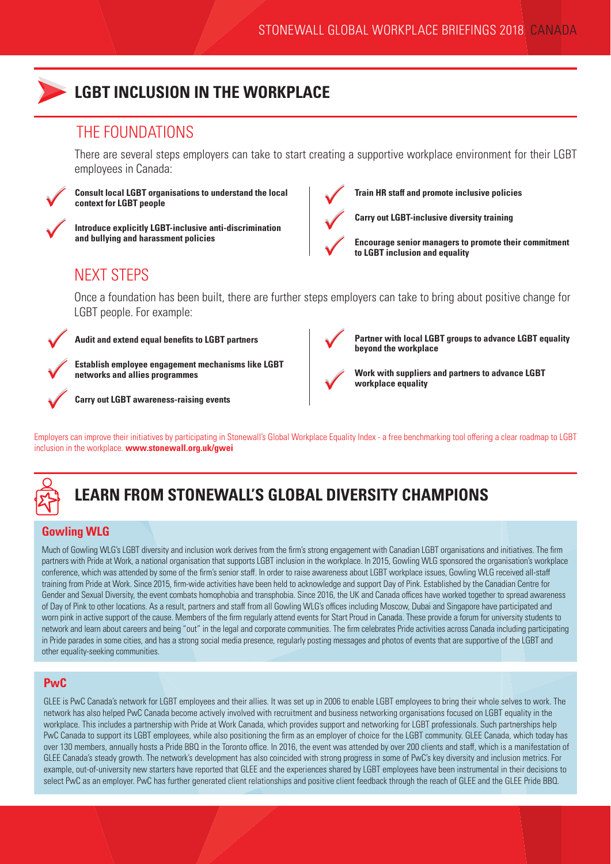

## **LGBT INCLUSION IN THE WORKPLACE**

### THE FOUNDATIONS

There are several steps employers can take to start creating a supportive workplace environment for their LGBT employees in Canada:



**Consult local LGBT organisations to understand the local context for LGBT people**



**Introduce explicitly LGBT-inclusive anti-discrimination and bullying and harassment policies**



**Train HR staff and promote inclusive policies**

**Carry out LGBT-inclusive diversity training**

 $\bigvee$ 

**Encourage senior managers to promote their commitment to LGBT inclusion and equality** 

## NEXT STEPS

Once a foundation has been built, there are further steps employers can take to bring about positive change for LGBT people. For example:



**Audit and extend equal benefits to LGBT partners**



**Establish employee engagement mechanisms like LGBT networks and allies programmes**

**Carry out LGBT awareness-raising events**



**Partner with local LGBT groups to advance LGBT equality** 

 $\bigvee$ 

**Work with suppliers and partners to advance LGBT workplace equality**

**beyond the workplace**

Employers can improve their initiatives by participating in Stonewall's Global Workplace Equality Index - a free benchmarking tool offering a clear roadmap to LGBT inclusion in the workplace. **www.stonewall.org.uk/gwei**



# **LEARN FROM STONEWALL'S GLOBAL DIVERSITY CHAMPIONS**

### **Gowling WLG**

Much of Gowling WLG's LGBT diversity and inclusion work derives from the firm's strong engagement with Canadian LGBT organisations and initiatives. The firm partners with Pride at Work, a national organisation that supports LGBT inclusion in the workplace. In 2015, Gowling WLG sponsored the organisation's workplace conference, which was attended by some of the firm's senior staff. In order to raise awareness about LGBT workplace issues, Gowling WLG received all-staff training from Pride at Work. Since 2015, firm-wide activities have been held to acknowledge and support Day of Pink. Established by the Canadian Centre for Gender and Sexual Diversity, the event combats homophobia and transphobia. Since 2016, the UK and Canada offices have worked together to spread awareness of Day of Pink to other locations. As a result, partners and staff from all Gowling WLG's offices including Moscow, Dubai and Singapore have participated and worn pink in active support of the cause. Members of the firm regularly attend events for Start Proud in Canada. These provide a forum for university students to network and learn about careers and being "out" in the legal and corporate communities. The firm celebrates Pride activities across Canada including participating in Pride parades in some cities, and has a strong social media presence, regularly posting messages and photos of events that are supportive of the LGBT and other equality-seeking communities.

### **PwC**

GLEE is PwC Canada's network for LGBT employees and their allies. It was set up in 2006 to enable LGBT employees to bring their whole selves to work. The network has also helped PwC Canada become actively involved with recruitment and business networking organisations focused on LGBT equality in the workplace. This includes a partnership with Pride at Work Canada, which provides support and networking for LGBT professionals. Such partnerships help PwC Canada to support its LGBT employees, while also positioning the firm as an employer of choice for the LGBT community. GLEE Canada, which today has over 130 members, annually hosts a Pride BBQ in the Toronto office. In 2016, the event was attended by over 200 clients and staff, which is a manifestation of GLEE Canada's steady growth. The network's development has also coincided with strong progress in some of PwC's key diversity and inclusion metrics. For example, out-of-university new starters have reported that GLEE and the experiences shared by LGBT employees have been instrumental in their decisions to select PwC as an employer. PwC has further generated client relationships and positive client feedback through the reach of GLEE and the GLEE Pride BBQ.